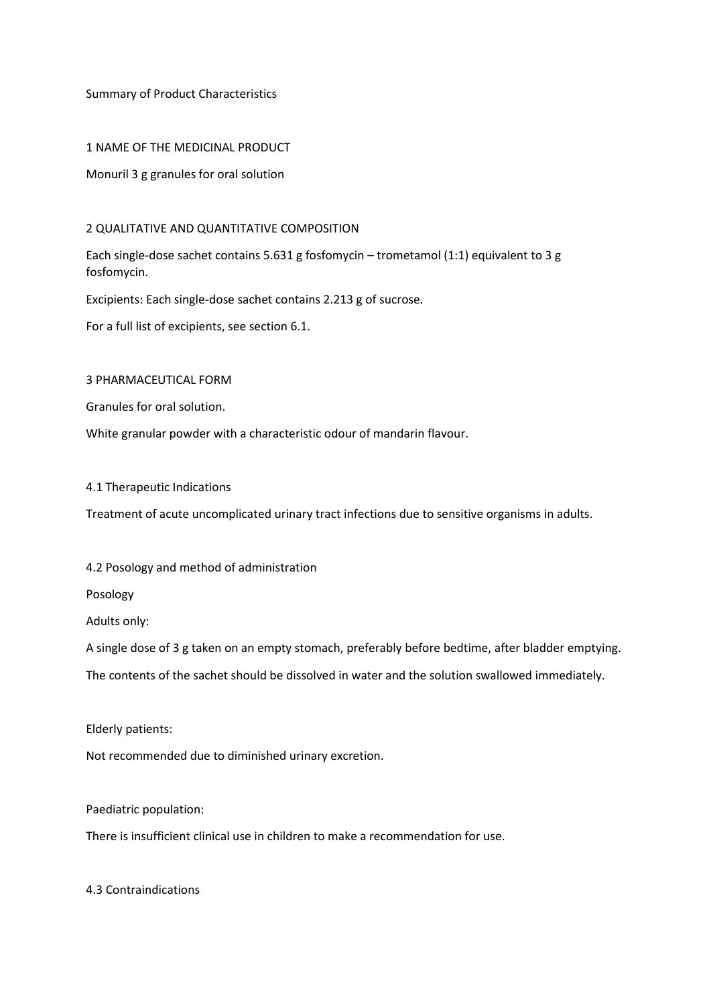Summary of Product Characteristics

1 NAME OF THE MEDICINAL PRODUCT

Monuril 3 g granules for oral solution

#### 2 QUALITATIVE AND QUANTITATIVE COMPOSITION

Each single-dose sachet contains 5.631 g fosfomycin – trometamol (1:1) equivalent to 3 g fosfomycin.

Excipients: Each single-dose sachet contains 2.213 g of sucrose.

For a full list of excipients, see section 6.1.

3 PHARMACEUTICAL FORM

Granules for oral solution.

White granular powder with a characteristic odour of mandarin flavour.

4.1 Therapeutic Indications

Treatment of acute uncomplicated urinary tract infections due to sensitive organisms in adults.

### 4.2 Posology and method of administration

Posology

Adults only:

A single dose of 3 g taken on an empty stomach, preferably before bedtime, after bladder emptying.

The contents of the sachet should be dissolved in water and the solution swallowed immediately.

Elderly patients:

Not recommended due to diminished urinary excretion.

Paediatric population:

There is insufficient clinical use in children to make a recommendation for use.

4.3 Contraindications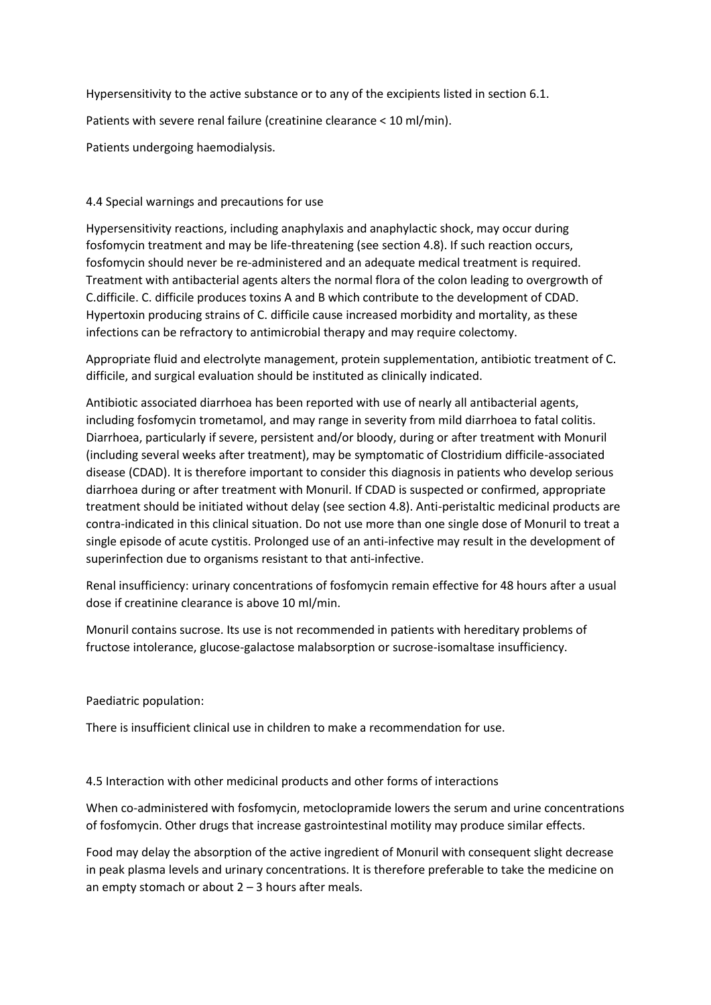Hypersensitivity to the active substance or to any of the excipients listed in section 6.1.

Patients with severe renal failure (creatinine clearance < 10 ml/min).

Patients undergoing haemodialysis.

## 4.4 Special warnings and precautions for use

Hypersensitivity reactions, including anaphylaxis and anaphylactic shock, may occur during fosfomycin treatment and may be life-threatening (see section 4.8). If such reaction occurs, fosfomycin should never be re-administered and an adequate medical treatment is required. Treatment with antibacterial agents alters the normal flora of the colon leading to overgrowth of C.difficile. C. difficile produces toxins A and B which contribute to the development of CDAD. Hypertoxin producing strains of C. difficile cause increased morbidity and mortality, as these infections can be refractory to antimicrobial therapy and may require colectomy.

Appropriate fluid and electrolyte management, protein supplementation, antibiotic treatment of C. difficile, and surgical evaluation should be instituted as clinically indicated.

Antibiotic associated diarrhoea has been reported with use of nearly all antibacterial agents, including fosfomycin trometamol, and may range in severity from mild diarrhoea to fatal colitis. Diarrhoea, particularly if severe, persistent and/or bloody, during or after treatment with Monuril (including several weeks after treatment), may be symptomatic of Clostridium difficile-associated disease (CDAD). It is therefore important to consider this diagnosis in patients who develop serious diarrhoea during or after treatment with Monuril. If CDAD is suspected or confirmed, appropriate treatment should be initiated without delay (see section 4.8). Anti-peristaltic medicinal products are contra-indicated in this clinical situation. Do not use more than one single dose of Monuril to treat a single episode of acute cystitis. Prolonged use of an anti-infective may result in the development of superinfection due to organisms resistant to that anti-infective.

Renal insufficiency: urinary concentrations of fosfomycin remain effective for 48 hours after a usual dose if creatinine clearance is above 10 ml/min.

Monuril contains sucrose. Its use is not recommended in patients with hereditary problems of fructose intolerance, glucose-galactose malabsorption or sucrose-isomaltase insufficiency.

## Paediatric population:

There is insufficient clinical use in children to make a recommendation for use.

## 4.5 Interaction with other medicinal products and other forms of interactions

When co-administered with fosfomycin, metoclopramide lowers the serum and urine concentrations of fosfomycin. Other drugs that increase gastrointestinal motility may produce similar effects.

Food may delay the absorption of the active ingredient of Monuril with consequent slight decrease in peak plasma levels and urinary concentrations. It is therefore preferable to take the medicine on an empty stomach or about  $2 - 3$  hours after meals.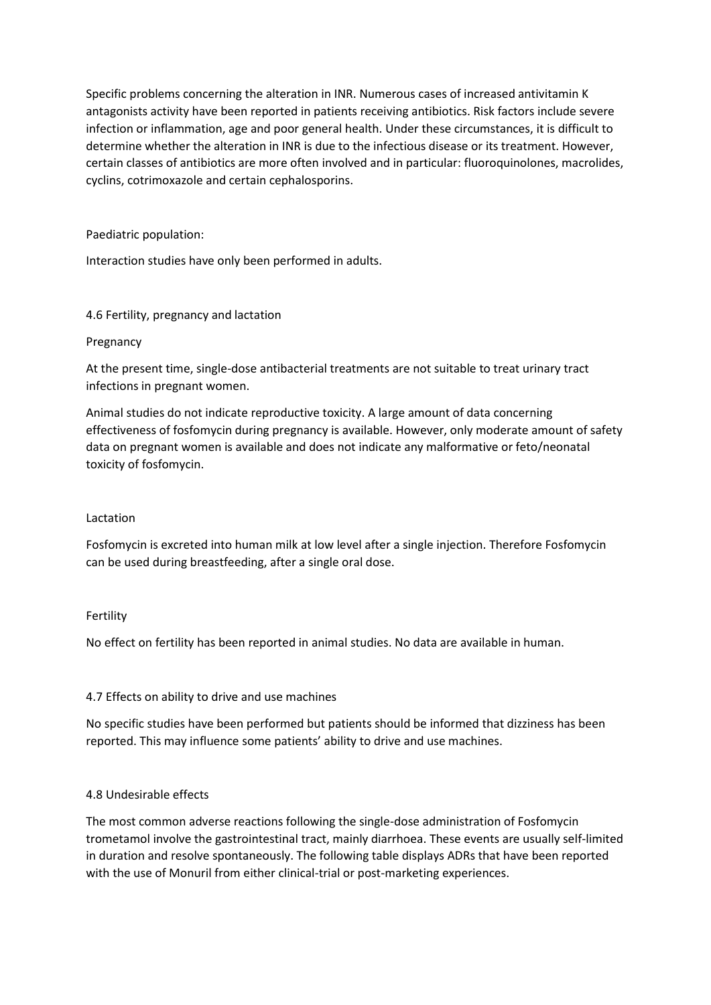Specific problems concerning the alteration in INR. Numerous cases of increased antivitamin K antagonists activity have been reported in patients receiving antibiotics. Risk factors include severe infection or inflammation, age and poor general health. Under these circumstances, it is difficult to determine whether the alteration in INR is due to the infectious disease or its treatment. However, certain classes of antibiotics are more often involved and in particular: fluoroquinolones, macrolides, cyclins, cotrimoxazole and certain cephalosporins.

### Paediatric population:

Interaction studies have only been performed in adults.

### 4.6 Fertility, pregnancy and lactation

#### Pregnancy

At the present time, single-dose antibacterial treatments are not suitable to treat urinary tract infections in pregnant women.

Animal studies do not indicate reproductive toxicity. A large amount of data concerning effectiveness of fosfomycin during pregnancy is available. However, only moderate amount of safety data on pregnant women is available and does not indicate any malformative or feto/neonatal toxicity of fosfomycin.

#### Lactation

Fosfomycin is excreted into human milk at low level after a single injection. Therefore Fosfomycin can be used during breastfeeding, after a single oral dose.

#### Fertility

No effect on fertility has been reported in animal studies. No data are available in human.

## 4.7 Effects on ability to drive and use machines

No specific studies have been performed but patients should be informed that dizziness has been reported. This may influence some patients' ability to drive and use machines.

## 4.8 Undesirable effects

The most common adverse reactions following the single-dose administration of Fosfomycin trometamol involve the gastrointestinal tract, mainly diarrhoea. These events are usually self-limited in duration and resolve spontaneously. The following table displays ADRs that have been reported with the use of Monuril from either clinical-trial or post-marketing experiences.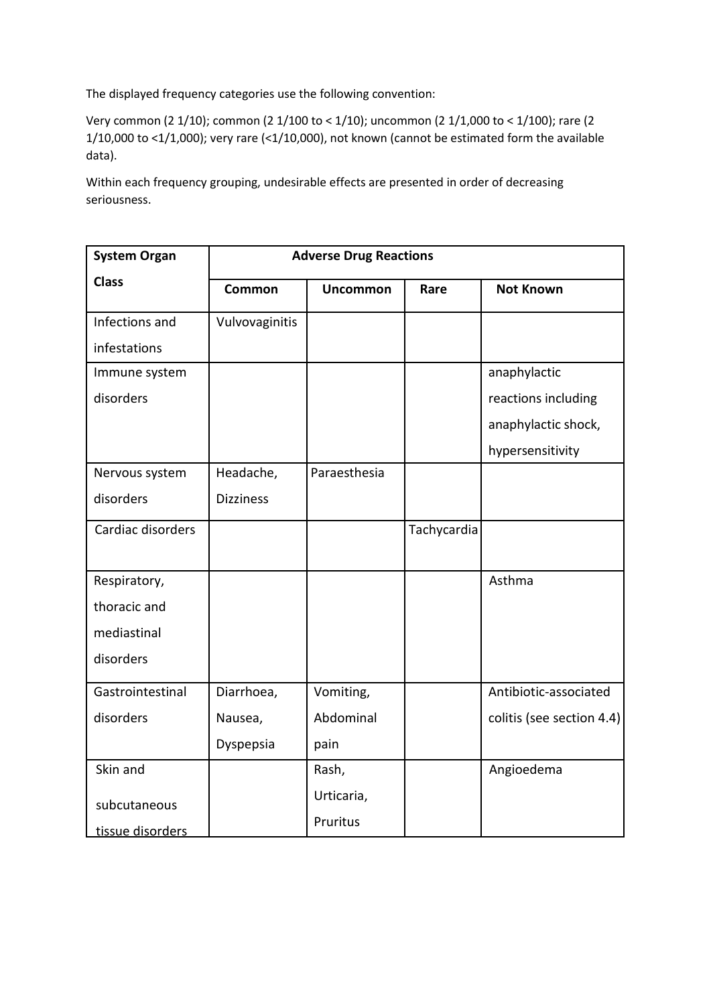The displayed frequency categories use the following convention:

Very common (2 1/10); common (2 1/100 to < 1/10); uncommon (2 1/1,000 to < 1/100); rare (2 1/10,000 to <1/1,000); very rare (<1/10,000), not known (cannot be estimated form the available data).

Within each frequency grouping, undesirable effects are presented in order of decreasing seriousness.

| <b>System Organ</b> | <b>Adverse Drug Reactions</b> |                 |             |                           |  |
|---------------------|-------------------------------|-----------------|-------------|---------------------------|--|
| <b>Class</b>        | <b>Common</b>                 | <b>Uncommon</b> | Rare        | <b>Not Known</b>          |  |
| Infections and      | Vulvovaginitis                |                 |             |                           |  |
| infestations        |                               |                 |             |                           |  |
| Immune system       |                               |                 |             | anaphylactic              |  |
| disorders           |                               |                 |             | reactions including       |  |
|                     |                               |                 |             | anaphylactic shock,       |  |
|                     |                               |                 |             | hypersensitivity          |  |
| Nervous system      | Headache,                     | Paraesthesia    |             |                           |  |
| disorders           | <b>Dizziness</b>              |                 |             |                           |  |
| Cardiac disorders   |                               |                 | Tachycardia |                           |  |
| Respiratory,        |                               |                 |             | Asthma                    |  |
| thoracic and        |                               |                 |             |                           |  |
| mediastinal         |                               |                 |             |                           |  |
| disorders           |                               |                 |             |                           |  |
| Gastrointestinal    | Diarrhoea,                    | Vomiting,       |             | Antibiotic-associated     |  |
| disorders           | Nausea,                       | Abdominal       |             | colitis (see section 4.4) |  |
|                     | Dyspepsia                     | pain            |             |                           |  |
| Skin and            |                               | Rash,           |             | Angioedema                |  |
| subcutaneous        |                               | Urticaria,      |             |                           |  |
| tissue disorders    |                               | Pruritus        |             |                           |  |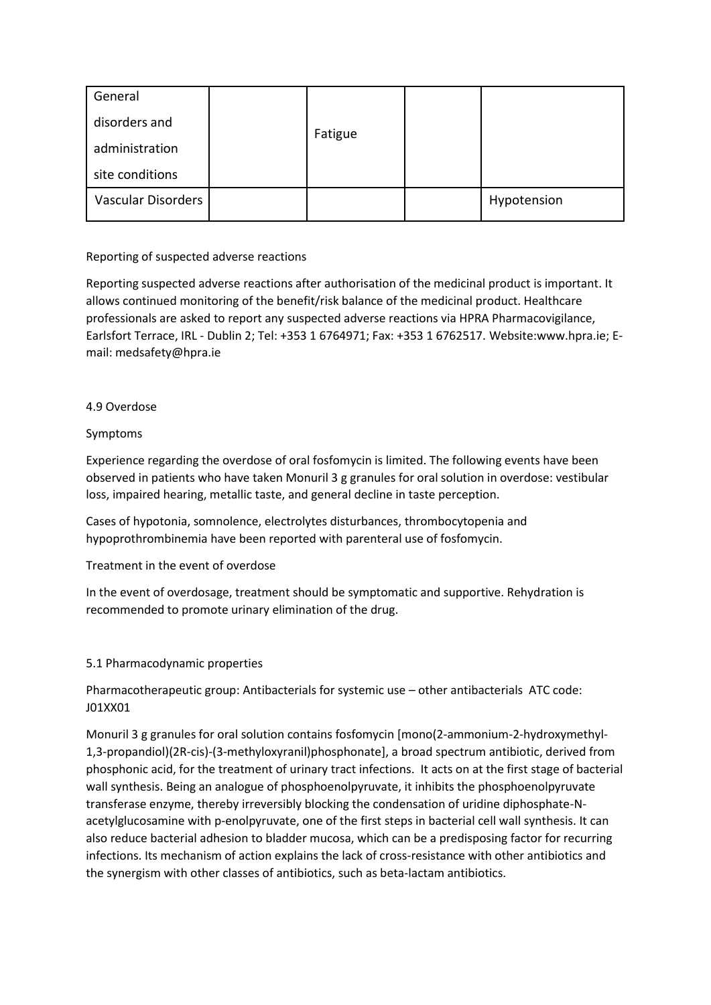| General                   |  | Fatigue |             |
|---------------------------|--|---------|-------------|
| disorders and             |  |         |             |
| administration            |  |         |             |
| site conditions           |  |         |             |
| <b>Vascular Disorders</b> |  |         | Hypotension |

## Reporting of suspected adverse reactions

Reporting suspected adverse reactions after authorisation of the medicinal product is important. It allows continued monitoring of the benefit/risk balance of the medicinal product. Healthcare professionals are asked to report any suspected adverse reactions via HPRA Pharmacovigilance, Earlsfort Terrace, IRL - Dublin 2; Tel: +353 1 6764971; Fax: +353 1 6762517. Website:www.hpra.ie; Email: medsafety@hpra.ie

## 4.9 Overdose

# Symptoms

Experience regarding the overdose of oral fosfomycin is limited. The following events have been observed in patients who have taken Monuril 3 g granules for oral solution in overdose: vestibular loss, impaired hearing, metallic taste, and general decline in taste perception.

Cases of hypotonia, somnolence, electrolytes disturbances, thrombocytopenia and hypoprothrombinemia have been reported with parenteral use of fosfomycin.

## Treatment in the event of overdose

In the event of overdosage, treatment should be symptomatic and supportive. Rehydration is recommended to promote urinary elimination of the drug.

## 5.1 Pharmacodynamic properties

Pharmacotherapeutic group: Antibacterials for systemic use – other antibacterials ATC code: J01XX01

Monuril 3 g granules for oral solution contains fosfomycin [mono(2-ammonium-2-hydroxymethyl-1,3-propandiol)(2R-cis)-(3-methyloxyranil)phosphonate], a broad spectrum antibiotic, derived from phosphonic acid, for the treatment of urinary tract infections. It acts on at the first stage of bacterial wall synthesis. Being an analogue of phosphoenolpyruvate, it inhibits the phosphoenolpyruvate transferase enzyme, thereby irreversibly blocking the condensation of uridine diphosphate-Nacetylglucosamine with p-enolpyruvate, one of the first steps in bacterial cell wall synthesis. It can also reduce bacterial adhesion to bladder mucosa, which can be a predisposing factor for recurring infections. Its mechanism of action explains the lack of cross-resistance with other antibiotics and the synergism with other classes of antibiotics, such as beta-lactam antibiotics.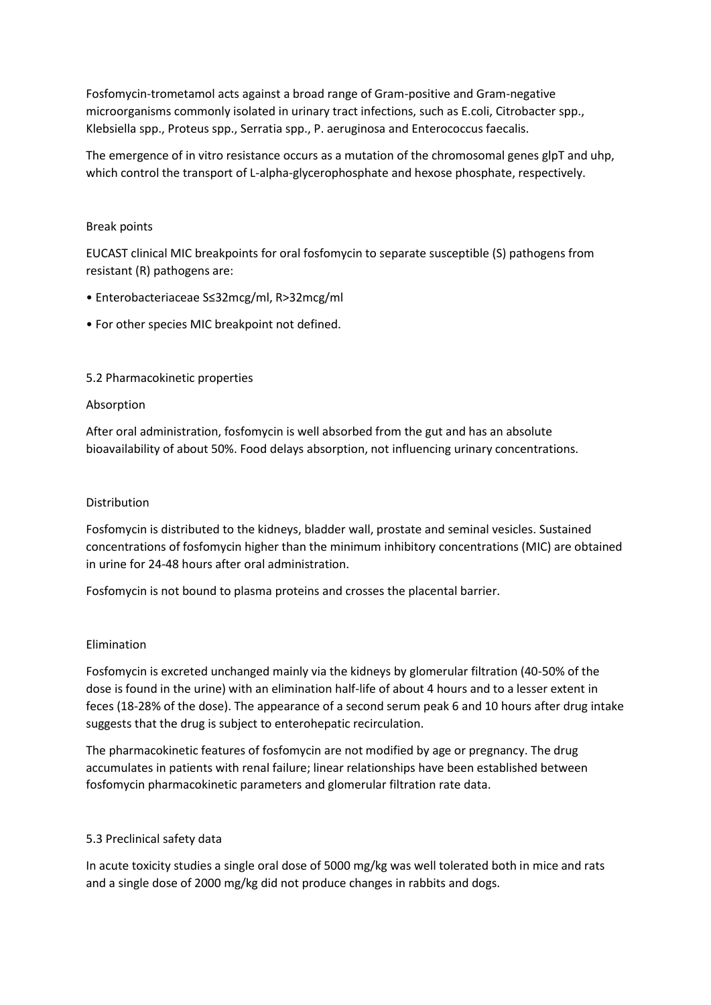Fosfomycin-trometamol acts against a broad range of Gram-positive and Gram-negative microorganisms commonly isolated in urinary tract infections, such as E.coli, Citrobacter spp., Klebsiella spp., Proteus spp., Serratia spp., P. aeruginosa and Enterococcus faecalis.

The emergence of in vitro resistance occurs as a mutation of the chromosomal genes glpT and uhp, which control the transport of L-alpha-glycerophosphate and hexose phosphate, respectively.

#### Break points

EUCAST clinical MIC breakpoints for oral fosfomycin to separate susceptible (S) pathogens from resistant (R) pathogens are:

- Enterobacteriaceae S≤32mcg/ml, R>32mcg/ml
- For other species MIC breakpoint not defined.

### 5.2 Pharmacokinetic properties

#### Absorption

After oral administration, fosfomycin is well absorbed from the gut and has an absolute bioavailability of about 50%. Food delays absorption, not influencing urinary concentrations.

#### Distribution

Fosfomycin is distributed to the kidneys, bladder wall, prostate and seminal vesicles. Sustained concentrations of fosfomycin higher than the minimum inhibitory concentrations (MIC) are obtained in urine for 24-48 hours after oral administration.

Fosfomycin is not bound to plasma proteins and crosses the placental barrier.

#### Elimination

Fosfomycin is excreted unchanged mainly via the kidneys by glomerular filtration (40-50% of the dose is found in the urine) with an elimination half-life of about 4 hours and to a lesser extent in feces (18-28% of the dose). The appearance of a second serum peak 6 and 10 hours after drug intake suggests that the drug is subject to enterohepatic recirculation.

The pharmacokinetic features of fosfomycin are not modified by age or pregnancy. The drug accumulates in patients with renal failure; linear relationships have been established between fosfomycin pharmacokinetic parameters and glomerular filtration rate data.

#### 5.3 Preclinical safety data

In acute toxicity studies a single oral dose of 5000 mg/kg was well tolerated both in mice and rats and a single dose of 2000 mg/kg did not produce changes in rabbits and dogs.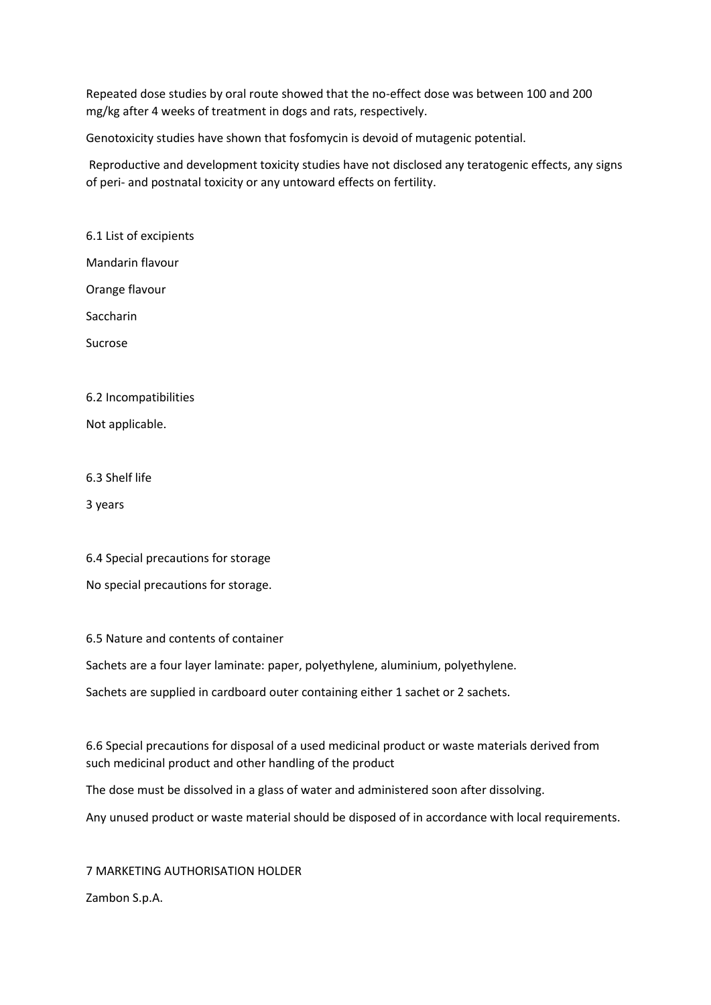Repeated dose studies by oral route showed that the no-effect dose was between 100 and 200 mg/kg after 4 weeks of treatment in dogs and rats, respectively.

Genotoxicity studies have shown that fosfomycin is devoid of mutagenic potential.

Reproductive and development toxicity studies have not disclosed any teratogenic effects, any signs of peri- and postnatal toxicity or any untoward effects on fertility.

6.1 List of excipients

Mandarin flavour

Orange flavour

**Saccharin** 

Sucrose

6.2 Incompatibilities

Not applicable.

6.3 Shelf life

3 years

| 6.4 Special precautions for storage |
|-------------------------------------|
| No special precautions for storage. |

6.5 Nature and contents of container

Sachets are a four layer laminate: paper, polyethylene, aluminium, polyethylene.

Sachets are supplied in cardboard outer containing either 1 sachet or 2 sachets.

6.6 Special precautions for disposal of a used medicinal product or waste materials derived from such medicinal product and other handling of the product

The dose must be dissolved in a glass of water and administered soon after dissolving.

Any unused product or waste material should be disposed of in accordance with local requirements.

7 MARKETING AUTHORISATION HOLDER Zambon S.p.A.